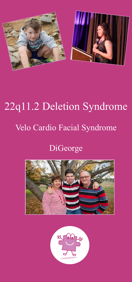

# 22q11.2 Deletion Syndrome Velo Cardio Facial Syndrome

# DiGeorge



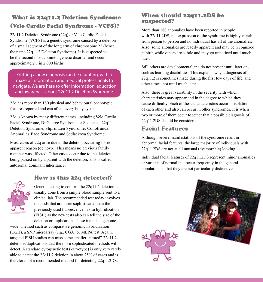# What is 22q11.2 Deletion Syndrome (Velo Cardio Facial Syndrome - VCFS)?

22q11.2 Deletion Syndrome (22q) or Velo Cardio Facial Syndrome (VCFS) is a genetic syndrome caused by a deletion of a small segment of the long arm of chromosome 22 (hence the name 22q11.2 Deletion Syndrome). It is suspected to be the second most common genetic disorder and occurs in approximately 1 in 2,000 births.

Getting a new diagnosis can be daunting, with a maze of information and medical professionals to navigate. We are here to offer information, education and awareness about 22q11.2 Deletion Syndrome.

22q has more than 180 physical and behavioural phenotypic features reported and can affect every body system.

22q is known by many different names, including Velo Cardio Facial Syndrome, Di George Syndrome or Sequence, 22q11 Deletion Syndrome, Shprintzen Syndrome, Conotruncal Anomalies Face Syndrome and Sedlackova Syndrome.

Most cases of 22q arise due to the deletion occurring for no apparent reason (de novo). This means no previous family member was affected. Other cases occur due to the deletion being passed on by a parent with the deletion; this is called autosomal dominant inheritance.

### How is this 22q detected?



Genetic testing to confirm the 22q11.2 deletion is usually done from a simple blood sample sent to a clinical lab. The recommended test today involves methods that are more sophisticated than the previously used fluorescence in situ hybridization (FISH) as the new tests also can tell the size of the deletion or duplication. These include "genome-

wide" method such as comparative genomic hybridization (CGH), a SNP microarray (e.g., CGA) or MLPA test. Again, targeted FISH studies can miss some smaller "nested" 22q11.2 deletions/duplications that the more sophisticated methods will detect. A standard cytogenetic test (karyotype) is only very rarely able to detect the 22q11.2 deletion in about 25% of cases and is therefore not a recommended method for detecting 22q11.2DS.

#### When should 22q11.2DS be suspected?

More than 180 anomalies have been reported in people with 22q11.2DS, but expression of the syndrome is highly variable from person to person and no individual has all of the anomalies. Also, some anomalies are readily apparent and may be recognized at birth while others are subtle and may go unnoticed until much later.

Still others are developmental and do not present until later on, such as learning disabilities. This explains why a diagnosis of 22q11.2 is sometimes made during the first few days of life, and other times, not until much later.

Also, there is great variability in the severity with which characteristics may appear and in the degree to which they cause difficulty. Each of these characteristics occur in isolation of each other and also can occur in other syndromes. It is when two or more of them occur together that a possible diagnosis of 22q11.2DS should be considered.

#### Facial Features

Although severe manifestations of the syndrome result in abnormal facial features, the large majority of individuals with 22q11.2DS are not at all unusual (dysmorphic) looking.

Individual facial features of 22q11.2DS represent minor anomalies or variants of normal that occur frequently in the general population so that they are not particularly distinctive.

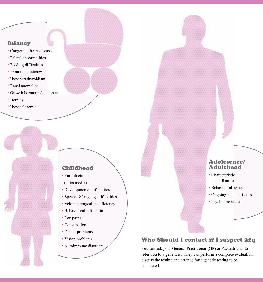#### Infancy

- Congenital heart disease
- Palatal abnormalities
- Feeding difficulties
- Immunodeficiency
- Hypoparathyroidism
- Renal anomalies
- Growth hormone deficiency
- Hernias
- Hypocalcaemia

#### Childhood

- Ear infections (otitis media)
- Developmental difficulties
- Speech & language difficulties
- Velo pharyngeal insufficiency
- Behavioural difficulties
- Leg pains
- Constipation
- Dental problems
- Vision problems
- Autoimmune disorders

#### Adolesence/ Adulthood

- Characteristic facial features
- Behavioural issues
- Ongoing medical issues
- Psychiatric issues

# Who Should I contact if I suspect 22q

You can ask your General Practitioner (GP) or Paediatrician to refer you to a geneticist. They can perform a complete evaluation, discuss the testing and arrange for a genetic testing to be conducted.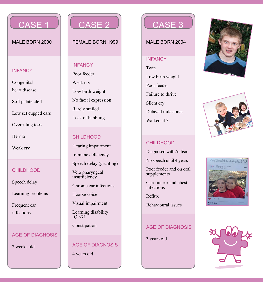

MALE BORN 2000

#### **INFANCY**

Congenital heart disease

Soft palate cleft

Low set cupped ears

Overriding toes

Hernia

Weak cry

#### CHILDHOOD

Speech delay

Learning problems

Frequent ear infections

#### AGE OF DIAGNOSIS

2 weeks old



#### FEMALE BORN 1999

#### INFANCY

Poor feeder Weak cry Low birth weight No facial expression Rarely smiled Lack of babbling

#### CHILDHOOD

Hearing impairment

Immune deficiency

Speech delay (grunting)

Velo pharyngeal insufficiency

Chronic ear infections

Hoarse voice

Visual impairment

Learning disability IQ <71

Constipation

# AGE OF DIAGNOSIS

4 years old



MALE BORN 2004

#### INFANCY

Twin Low birth weight Poor feeder Failure to thrive Silent cry Delayed milestones Walked at 3

# CHILDHOOD

Diagnosed with Autism

No speech until 4 years

Poor feeder and on oral supplements

Chronic ear and chest infections

Reflux

Behavioural issues

#### AGE OF DIAGNOSIS

3 years old







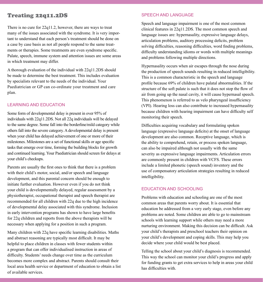#### Treating 22q11.2DS

There is no cure for 22q11.2, however, there are ways to treat many of the issues associated with the syndrome. It is very important to understand that each person's treatment should be done on a case by case basis as not all people respond to the same treatments or therapies. Some treatments are even syndrome specific. Palate, speech, immune system and attention issues are some areas in which treatment may differ.

A thorough evaluation of the individual with 22q11.2DS should be made to determine the best treatment. This includes evaluation by specialists relevant to the needs of the individual. Your Paediatrician or GP can co-ordinate your treatment and care plan.

#### LEARNING AND EDUCATION

Some form of developmental delay is present in over 95% of individuals with 22q11.2DS. Not all 22q individuals will be delayed to the same degree. Some fall into the borderline/mild category while others fall into the severe category. A developmental delay is present when your child has delayed achievement of one or more of their milestones. Milestones are a set of functional skills or age specific tasks that emerge over time, forming the building blocks for growth and continued learning. Your Paediatrician should screen for delays at your child's checkups.

Parents are usually the first ones to think that there is a problem with their child's motor, social, and/or speech and language development, and this parental concern should be enough to initiate further evaluation. However even if you do not think your child is developmentally delayed, regular assessment by a physiotherapist, occupational therapist and speech therapist are recommended for all children with 22q due to the high incidence of developmental delay associated with this syndrome. Inclusion in early intervention programs has shown to have large benefits for 22q children and reports from the above therapists will be necessary when applying for a position in such a program.

Many children with 22q have specific learning disabilities. Maths and abstract reasoning are typically most difficult. It may be helpful to place children in classes with fewer students within a program that can offer individualised instruction in areas of difficulty. Students' needs change over time as the curriculum becomes more complex and abstract. Parents should consult their local area health service or department of education to obtain a list of available services.

#### SPEECH AND LANGUAGE

Speech and language impairment is one of the most common clinical features in 22q11.2DS. The most common speech and language issues are: hypernasality, expressive language delays, articulation problems, auditory processing deficits, problem solving difficulties, reasoning difficulties, word finding problems, difficulty understanding idioms or words with multiple meanings and problems following multiple directions.

Hypernasality occurs when air escapes through the nose during the production of speech sounds resulting in reduced intelligibility. This is a common characteristic in the speech and language profile because 69% of children have palatal abnormalities. If the structure of the soft palate is such that it does not stop the flow of air from going up the nasal cavity, it will cause hypernasal speech. This phenomenon is referred to as velo pharyngeal insufficiency (VPI). Hearing loss can also contribute to increased hypernasality because children with hearing impairment can have difficulty self monitoring their speech.

Difficulties acquiring vocabulary and formulating spoken language (expressive language deficits) at the onset of language development are also common. Receptive language, which is the ability to comprehend, retain, or process spoken language, can also be impaired although not usually with the same severity as expressive language impairments. Articulation errors are commonly present in children with VCFS. These errors include a limited phonetic (speech sound) inventory and the use of compensatory articulation strategies resulting in reduced intelligibility.

#### EDUCATION AND SCHOOLING

Problems with education and schooling are one of the most common areas that parents worry about. It is essential that education be addressed from a very early stage, even before any problems are noted. Some children are able to go to mainstream schools with learning support while others may need a more nurturing environment. Making this decision can be difficult. Ask your child's therapists and preschool teachers their opinion on your child's development and coping skills. This may help you decide where your child would be best placed.

Telling the school about your child's diagnosis is recommended. This way the school can monitor your child's progress and apply for funding grants to get extra services to help in areas your child has difficulties with.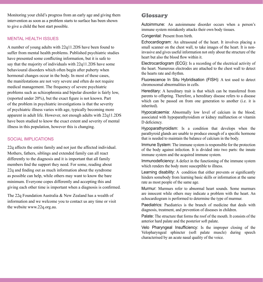Monitoring your child's progress from an early age and giving them intervention as soon as a problem starts to surface has been shown to give a child the best start possible.

#### MENTAL HEALTH ISSUES

A number of young adults with 22q11.2DS have been found to suffer from mental health problems. Published psychiatric studies have presented some conflicting information, but it is safe to say that the majority of individuals with 22q11.2DS have some behavioural disorders which often begin after puberty when hormonal changes occur in the body. In most of these cases, the manifestations are not very severe and often do not require medical management. The frequency of severe psychiatric problems such as schizophrenia and bipolar disorder is fairly low, (reported under 20%), but the exact figure is not known. Part of the problem in psychiatric investigations is that the severity of psychiatric illness varies with age, typically becoming more apparent in adult life. However, not enough adults with 22q11.2DS have been studied to know the exact extent and severity of mental illness in this population, however this is changing.

#### SOCIAL IMPLICATIONS

22q affects the entire family and not just the affected individual. Mothers, fathers, siblings and extended family can all react differently to the diagnosis and it is important that all family members find the support they need. For some, reading about 22q and finding out as much information about the syndrome as possible can help, while others may want to know the bare minimum. Everyone copes differently and accepting this and giving each other time is important when a diagnosis is confirmed.

The 22q Foundation Australia & New Zealand has a wealth of information and we welcome you to contact us any time or visit the website www.22q.org.au.

#### **Glossary**

Autoimmune: An autoimmune disorder occurs when a person's immune system mistakenly attacks their own body tissues.

Congenital: Present from birth.

Echocardiogram: An ultrasound of the heart. It involves placing a small scanner on the chest wall, to take images of the heart. It is noninvasive and gives useful information not only about the structure of the heart but also the blood flow within it.

Electrocardiogram (ECG): Is a recording of the electrical activity of the heart. Numerous electrodes are attached to the chest wall to detect the hearts rate and rhythm.

Fluorescence In Situ Hybridisation (FISH): A test used to detect chromosomal abnormalities in cells.

Hereditary: A hereditary trait is that which can be transferred from parents to offspring. Therefore, a hereditary disease refers to a disease which can be passed on from one generation to another (i.e. it is inherited).

Hypocalcaemia: Abnormally low level of calcium in the blood; associated with hypoparathyroidism or kidney malfunction or vitamin D deficiency.

Hypoparathyroidism: Is a condition that develops when the parathyroid glands are unable to produce enough of a specific hormone that is needed to maintain the balance of calcium in the body.

Immune System: The immune system is responsible for the protection of the body against infection. It is divided into two parts: the innate immune system and the acquired immune system.

Immunodeficiency: A defect in the functioning of the immune system which renders the body more susceptible to illness.

Learning disability: A condition that either prevents or significantly hinders somebody from learning basic skills or information at the same rate as most people of the same age.

Murmur: Murmurs refer to abnormal heart sounds. Some murmurs are innocent while others may indicate a problem with the heart. An echocardiogram is performed to determine the type of murmur.

Paediatrics: Paediatrics is the branch of medicine that deals with diagnosis, treatment, and prevention of diseases in children.

Palate: The structure that forms the roof of the mouth. It consists of the anterior hard palate and the posterior soft palate.

Velo Pharyngeal Insufficiency: Is the improper closing of the Velopharyngeal sphincter (soft palate muscle) during speech characterised by an acute nasal quality of the voice.